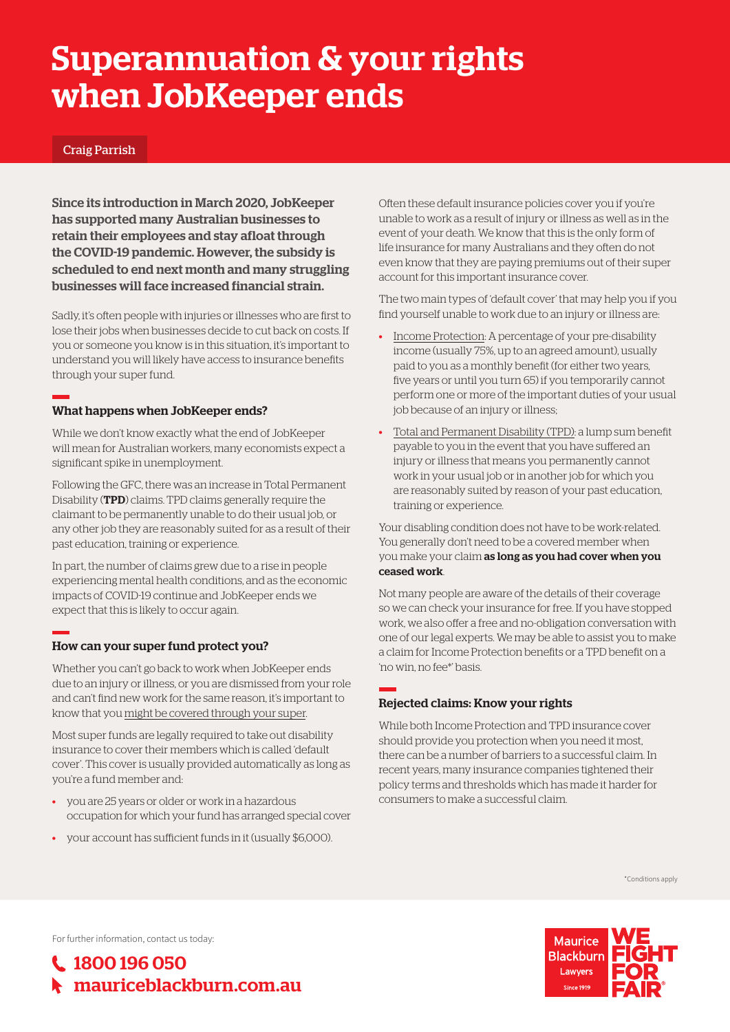# Superannuation & your rights when JobKeeper ends

#### Craig Parrish

Since its introduction in March 2020, JobKeeper has supported many Australian businesses to retain their employees and stay afloat through the COVID-19 pandemic. However, the subsidy is scheduled to end next month and many struggling businesses will face increased financial strain.

Sadly, it's often people with injuries or illnesses who are first to lose their jobs when businesses decide to cut back on costs. If you or someone you know is in this situation, it's important to understand you will likely have access to insurance benefits through your super fund.

### What happens when JobKeeper ends?

While we don't know exactly what the end of JobKeeper will mean for Australian workers, many economists expect a significant spike in unemployment.

Following the GFC, there was an increase in Total Permanent Disability (TPD) claims. TPD claims generally require the claimant to be permanently unable to do their usual job, or any other job they are reasonably suited for as a result of their past education, training or experience.

In part, the number of claims grew due to a rise in people experiencing mental health conditions, and as the economic impacts of COVID-19 continue and JobKeeper ends we expect that this is likely to occur again.

### How can your super fund protect you?

Whether you can't go back to work when JobKeeper ends due to an injury or illness, or you are dismissed from your role and can't find new work for the same reason, it's important to know that you [might be covered through your super](https://www.mauriceblackburn.com.au/blog/2020/august/10/injury-or-illness-let-s-look-at-your-super/).

Most super funds are legally required to take out disability insurance to cover their members which is called 'default cover'. This cover is usually provided automatically as long as you're a fund member and:

- you are 25 years or older or work in a hazardous occupation for which your fund has arranged special cover
- your account has sufficient funds in it (usually \$6,000).

Often these default insurance policies cover you if you're unable to work as a result of injury or illness as well as in the event of your death. We know that this is the only form of life insurance for many Australians and they often do not even know that they are paying premiums out of their super account for this important insurance cover.

The two main types of 'default cover' that may help you if you find yourself unable to work due to an injury or illness are:

- [Income Protection](https://www.mauriceblackburn.com.au/superannuation-and-insurance/superannuation-claims/): A percentage of your pre-disability income (usually 75%, up to an agreed amount), usually paid to you as a monthly benefit (for either two years, five years or until you turn 65) if you temporarily cannot perform one or more of the important duties of your usual job because of an injury or illness;
- [Total and Permanent Disability \(TPD\):](https://www.mauriceblackburn.com.au/superannuation-and-insurance/superannuation-claims/disability-benefits/) a lump sum benefit payable to you in the event that you have suffered an injury or illness that means you permanently cannot work in your usual job or in another job for which you are reasonably suited by reason of your past education, training or experience.

Your disabling condition does not have to be work-related. You generally don't need to be a covered member when you make your claim as long as you had cover when you ceased work.

Not many people are aware of the details of their coverage so we can check your insurance for free. If you have stopped work, we also offer a free and no-obligation conversation with one of our legal experts. We may be able to assist you to make a claim for Income Protection benefits or a TPD benefit on a 'no win, no fee\*' basis.

## Rejected claims: Know your rights

While both Income Protection and TPD insurance cover should provide you protection when you need it most, there can be a number of barriers to a successful claim. In recent years, many insurance companies tightened their policy terms and thresholds which has made it harder for consumers to make a successful claim.

\*Conditions apply

For further information, contact us today:

1800 196 050 mauriceblackburn.com.au